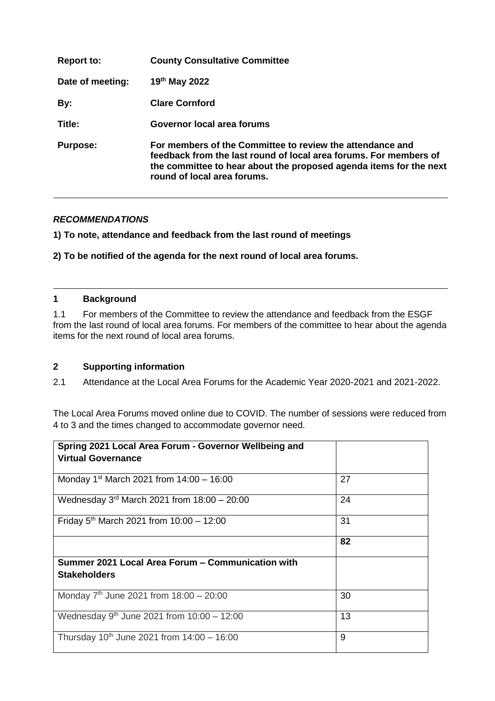| <b>Report to:</b> | <b>County Consultative Committee</b>                                                                                                                                                                                                |
|-------------------|-------------------------------------------------------------------------------------------------------------------------------------------------------------------------------------------------------------------------------------|
| Date of meeting:  | 19th May 2022                                                                                                                                                                                                                       |
| By:               | <b>Clare Cornford</b>                                                                                                                                                                                                               |
| Title:            | Governor local area forums                                                                                                                                                                                                          |
| <b>Purpose:</b>   | For members of the Committee to review the attendance and<br>feedback from the last round of local area forums. For members of<br>the committee to hear about the proposed agenda items for the next<br>round of local area forums. |

## *RECOMMENDATIONS*

**1) To note, attendance and feedback from the last round of meetings**

**2) To be notified of the agenda for the next round of local area forums.** 

#### **1 Background**

1.1 For members of the Committee to review the attendance and feedback from the ESGF from the last round of local area forums. For members of the committee to hear about the agenda items for the next round of local area forums.

#### **2 Supporting information**

2.1 Attendance at the Local Area Forums for the Academic Year 2020-2021 and 2021-2022.

The Local Area Forums moved online due to COVID. The number of sessions were reduced from 4 to 3 and the times changed to accommodate governor need.

| Spring 2021 Local Area Forum - Governor Wellbeing and  |    |
|--------------------------------------------------------|----|
| <b>Virtual Governance</b>                              |    |
|                                                        |    |
| Monday 1 <sup>st</sup> March 2021 from $14:00 - 16:00$ | 27 |
| Wednesday $3rd$ March 2021 from 18:00 - 20:00          | 24 |
| Friday 5 <sup>th</sup> March 2021 from $10:00 - 12:00$ | 31 |
|                                                        | 82 |
| Summer 2021 Local Area Forum - Communication with      |    |
| <b>Stakeholders</b>                                    |    |
| Monday $7th$ June 2021 from 18:00 - 20:00              | 30 |
| Wednesday $9^{th}$ June 2021 from 10:00 - 12:00        | 13 |
| Thursday $10^{th}$ June 2021 from $14:00 - 16:00$      | 9  |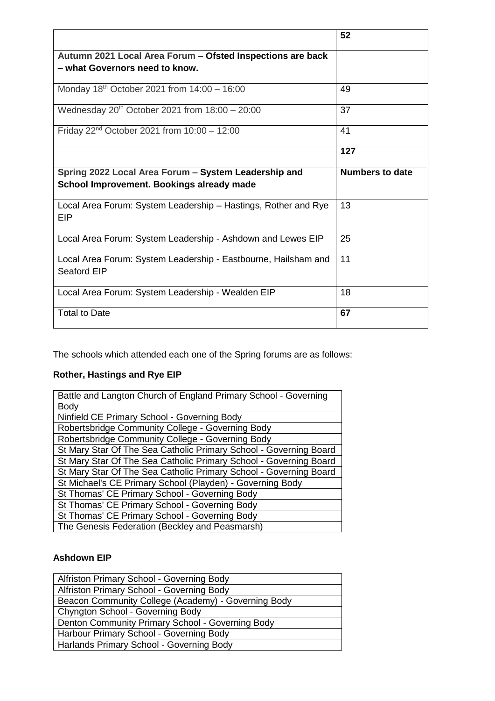|                                                                                                   | 52                     |
|---------------------------------------------------------------------------------------------------|------------------------|
| Autumn 2021 Local Area Forum - Ofsted Inspections are back<br>– what Governors need to know.      |                        |
| Monday 18 <sup>th</sup> October 2021 from $14:00 - 16:00$                                         | 49                     |
| Wednesday $20th$ October 2021 from 18:00 - 20:00                                                  | 37                     |
| Friday $22^{nd}$ October 2021 from $10:00 - 12:00$                                                | 41                     |
|                                                                                                   | 127                    |
| Spring 2022 Local Area Forum - System Leadership and<br>School Improvement. Bookings already made | <b>Numbers to date</b> |
| Local Area Forum: System Leadership - Hastings, Rother and Rye<br>EIP                             | 13                     |
| Local Area Forum: System Leadership - Ashdown and Lewes EIP                                       | 25                     |
|                                                                                                   |                        |
| Local Area Forum: System Leadership - Eastbourne, Hailsham and<br>Seaford EIP                     | 11                     |
| Local Area Forum: System Leadership - Wealden EIP                                                 | 18                     |

The schools which attended each one of the Spring forums are as follows:

# **Rother, Hastings and Rye EIP**

| Battle and Langton Church of England Primary School - Governing   |  |  |
|-------------------------------------------------------------------|--|--|
| Body                                                              |  |  |
| Ninfield CE Primary School - Governing Body                       |  |  |
| Robertsbridge Community College - Governing Body                  |  |  |
| Robertsbridge Community College - Governing Body                  |  |  |
| St Mary Star Of The Sea Catholic Primary School - Governing Board |  |  |
| St Mary Star Of The Sea Catholic Primary School - Governing Board |  |  |
| St Mary Star Of The Sea Catholic Primary School - Governing Board |  |  |
| St Michael's CE Primary School (Playden) - Governing Body         |  |  |
| St Thomas' CE Primary School - Governing Body                     |  |  |
| St Thomas' CE Primary School - Governing Body                     |  |  |
| St Thomas' CE Primary School - Governing Body                     |  |  |
| The Genesis Federation (Beckley and Peasmarsh)                    |  |  |

## **Ashdown EIP**

| Alfriston Primary School - Governing Body           |  |  |
|-----------------------------------------------------|--|--|
| Alfriston Primary School - Governing Body           |  |  |
| Beacon Community College (Academy) - Governing Body |  |  |
| <b>Chyngton School - Governing Body</b>             |  |  |
| Denton Community Primary School - Governing Body    |  |  |
| Harbour Primary School - Governing Body             |  |  |
| Harlands Primary School - Governing Body            |  |  |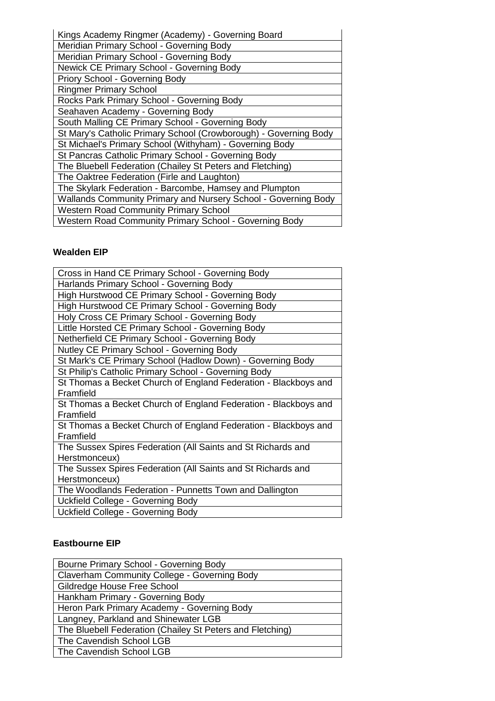| Kings Academy Ringmer (Academy) - Governing Board                |  |  |
|------------------------------------------------------------------|--|--|
| Meridian Primary School - Governing Body                         |  |  |
| Meridian Primary School - Governing Body                         |  |  |
| Newick CE Primary School - Governing Body                        |  |  |
| Priory School - Governing Body                                   |  |  |
| <b>Ringmer Primary School</b>                                    |  |  |
| Rocks Park Primary School - Governing Body                       |  |  |
| Seahaven Academy - Governing Body                                |  |  |
| South Malling CE Primary School - Governing Body                 |  |  |
| St Mary's Catholic Primary School (Crowborough) - Governing Body |  |  |
| St Michael's Primary School (Withyham) - Governing Body          |  |  |
| St Pancras Catholic Primary School - Governing Body              |  |  |
| The Bluebell Federation (Chailey St Peters and Fletching)        |  |  |
| The Oaktree Federation (Firle and Laughton)                      |  |  |
| The Skylark Federation - Barcombe, Hamsey and Plumpton           |  |  |
| Wallands Community Primary and Nursery School - Governing Body   |  |  |
| <b>Western Road Community Primary School</b>                     |  |  |
| Western Road Community Primary School - Governing Body           |  |  |

## **Wealden EIP**

| Cross in Hand CE Primary School - Governing Body                |  |  |
|-----------------------------------------------------------------|--|--|
| Harlands Primary School - Governing Body                        |  |  |
| High Hurstwood CE Primary School - Governing Body               |  |  |
| High Hurstwood CE Primary School - Governing Body               |  |  |
| Holy Cross CE Primary School - Governing Body                   |  |  |
| Little Horsted CE Primary School - Governing Body               |  |  |
| Netherfield CE Primary School - Governing Body                  |  |  |
| Nutley CE Primary School - Governing Body                       |  |  |
| St Mark's CE Primary School (Hadlow Down) - Governing Body      |  |  |
| St Philip's Catholic Primary School - Governing Body            |  |  |
| St Thomas a Becket Church of England Federation - Blackboys and |  |  |
| Framfield                                                       |  |  |
| St Thomas a Becket Church of England Federation - Blackboys and |  |  |
| Framfield                                                       |  |  |
| St Thomas a Becket Church of England Federation - Blackboys and |  |  |
| Framfield                                                       |  |  |
| The Sussex Spires Federation (All Saints and St Richards and    |  |  |
| Herstmonceux)                                                   |  |  |
| The Sussex Spires Federation (All Saints and St Richards and    |  |  |
| Herstmonceux)                                                   |  |  |
| The Woodlands Federation - Punnetts Town and Dallington         |  |  |
| Uckfield College - Governing Body                               |  |  |
| Uckfield College - Governing Body                               |  |  |

## **Eastbourne EIP**

| Bourne Primary School - Governing Body                    |  |  |
|-----------------------------------------------------------|--|--|
| Claverham Community College - Governing Body              |  |  |
| Gildredge House Free School                               |  |  |
| Hankham Primary - Governing Body                          |  |  |
| Heron Park Primary Academy - Governing Body               |  |  |
| Langney, Parkland and Shinewater LGB                      |  |  |
| The Bluebell Federation (Chailey St Peters and Fletching) |  |  |
| The Cavendish School LGB                                  |  |  |
| The Cavendish School LGB                                  |  |  |